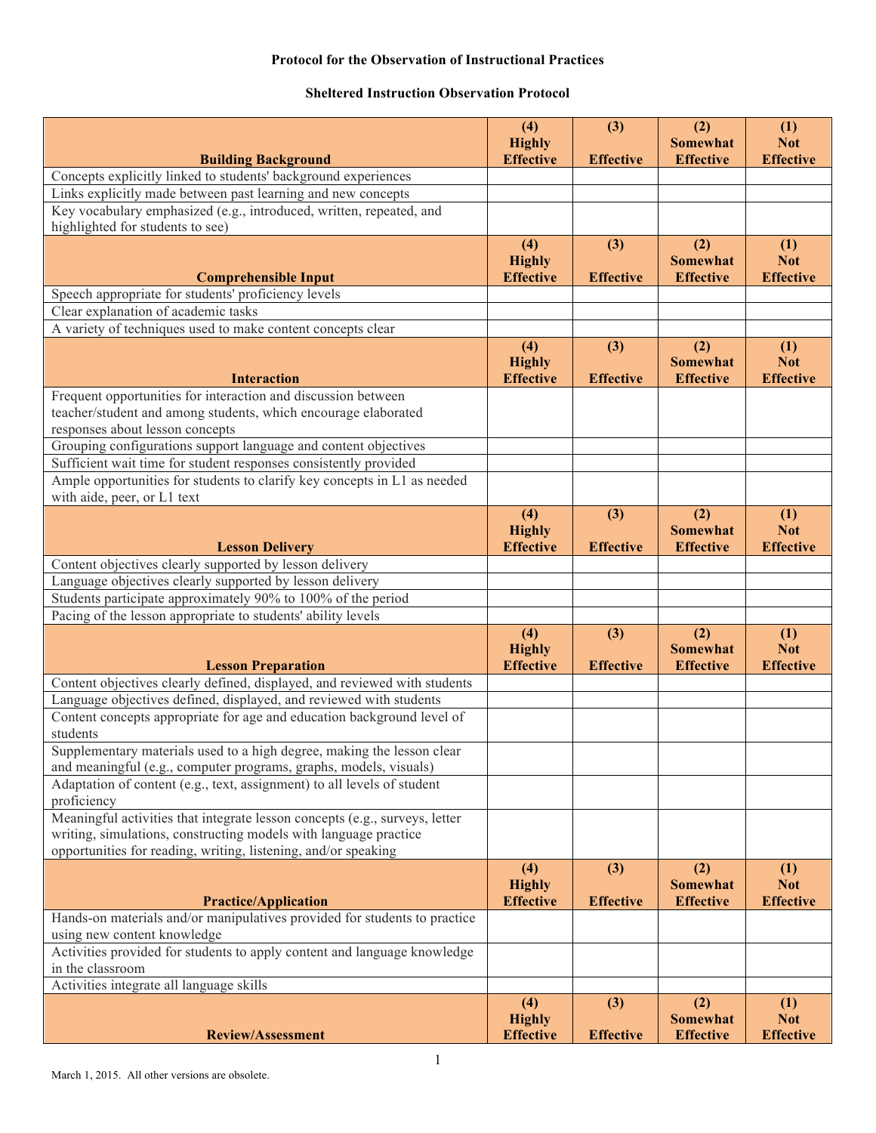## **Protocol for the Observation of Instructional Practices**

## **Sheltered Instruction Observation Protocol**

|                                                                                        | (4)<br><b>Highly</b>                     | (3)                     | (2)<br><b>Somewhat</b>                     | (1)<br><b>Not</b>                     |
|----------------------------------------------------------------------------------------|------------------------------------------|-------------------------|--------------------------------------------|---------------------------------------|
| <b>Building Background</b>                                                             | <b>Effective</b>                         | <b>Effective</b>        | <b>Effective</b>                           | <b>Effective</b>                      |
| Concepts explicitly linked to students' background experiences                         |                                          |                         |                                            |                                       |
| Links explicitly made between past learning and new concepts                           |                                          |                         |                                            |                                       |
| Key vocabulary emphasized (e.g., introduced, written, repeated, and                    |                                          |                         |                                            |                                       |
| highlighted for students to see)                                                       |                                          |                         |                                            |                                       |
|                                                                                        | (4)<br><b>Highly</b>                     | (3)                     | (2)<br><b>Somewhat</b>                     | (1)<br><b>Not</b>                     |
| <b>Comprehensible Input</b>                                                            | <b>Effective</b>                         | <b>Effective</b>        | <b>Effective</b>                           | <b>Effective</b>                      |
| Speech appropriate for students' proficiency levels                                    |                                          |                         |                                            |                                       |
| Clear explanation of academic tasks                                                    |                                          |                         |                                            |                                       |
| A variety of techniques used to make content concepts clear                            |                                          |                         |                                            |                                       |
| <b>Interaction</b>                                                                     | (4)<br><b>Highly</b><br><b>Effective</b> | (3)<br><b>Effective</b> | (2)<br><b>Somewhat</b><br><b>Effective</b> | (1)<br><b>Not</b><br><b>Effective</b> |
| Frequent opportunities for interaction and discussion between                          |                                          |                         |                                            |                                       |
| teacher/student and among students, which encourage elaborated                         |                                          |                         |                                            |                                       |
| responses about lesson concepts                                                        |                                          |                         |                                            |                                       |
| Grouping configurations support language and content objectives                        |                                          |                         |                                            |                                       |
| Sufficient wait time for student responses consistently provided                       |                                          |                         |                                            |                                       |
| Ample opportunities for students to clarify key concepts in L1 as needed               |                                          |                         |                                            |                                       |
| with aide, peer, or L1 text                                                            |                                          |                         |                                            |                                       |
|                                                                                        | (4)<br><b>Highly</b>                     | (3)                     | (2)<br><b>Somewhat</b>                     | (1)<br><b>Not</b>                     |
| <b>Lesson Delivery</b>                                                                 | <b>Effective</b>                         | <b>Effective</b>        | <b>Effective</b>                           | <b>Effective</b>                      |
| Content objectives clearly supported by lesson delivery                                |                                          |                         |                                            |                                       |
| Language objectives clearly supported by lesson delivery                               |                                          |                         |                                            |                                       |
| Students participate approximately 90% to 100% of the period                           |                                          |                         |                                            |                                       |
| Pacing of the lesson appropriate to students' ability levels                           |                                          |                         |                                            |                                       |
|                                                                                        | (4)<br><b>Highly</b>                     | (3)                     | (2)<br><b>Somewhat</b>                     | (1)<br><b>Not</b>                     |
| <b>Lesson Preparation</b>                                                              | <b>Effective</b>                         | <b>Effective</b>        | <b>Effective</b>                           | <b>Effective</b>                      |
| Content objectives clearly defined, displayed, and reviewed with students              |                                          |                         |                                            |                                       |
| Language objectives defined, displayed, and reviewed with students                     |                                          |                         |                                            |                                       |
| Content concepts appropriate for age and education background level of<br>students     |                                          |                         |                                            |                                       |
| Supplementary materials used to a high degree, making the lesson clear                 |                                          |                         |                                            |                                       |
| and meaningful (e.g., computer programs, graphs, models, visuals)                      |                                          |                         |                                            |                                       |
| Adaptation of content (e.g., text, assignment) to all levels of student<br>proficiency |                                          |                         |                                            |                                       |
| Meaningful activities that integrate lesson concepts (e.g., surveys, letter            |                                          |                         |                                            |                                       |
| writing, simulations, constructing models with language practice                       |                                          |                         |                                            |                                       |
| opportunities for reading, writing, listening, and/or speaking                         |                                          |                         |                                            |                                       |
| <b>Practice/Application</b>                                                            | (4)<br><b>Highly</b><br><b>Effective</b> | (3)<br><b>Effective</b> | (2)<br><b>Somewhat</b><br><b>Effective</b> | (1)<br><b>Not</b><br><b>Effective</b> |
| Hands-on materials and/or manipulatives provided for students to practice              |                                          |                         |                                            |                                       |
| using new content knowledge                                                            |                                          |                         |                                            |                                       |
| Activities provided for students to apply content and language knowledge               |                                          |                         |                                            |                                       |
| in the classroom                                                                       |                                          |                         |                                            |                                       |
| Activities integrate all language skills                                               |                                          |                         |                                            |                                       |
| <b>Review/Assessment</b>                                                               | (4)<br><b>Highly</b><br><b>Effective</b> | (3)<br><b>Effective</b> | (2)<br><b>Somewhat</b><br><b>Effective</b> | (1)<br><b>Not</b><br><b>Effective</b> |